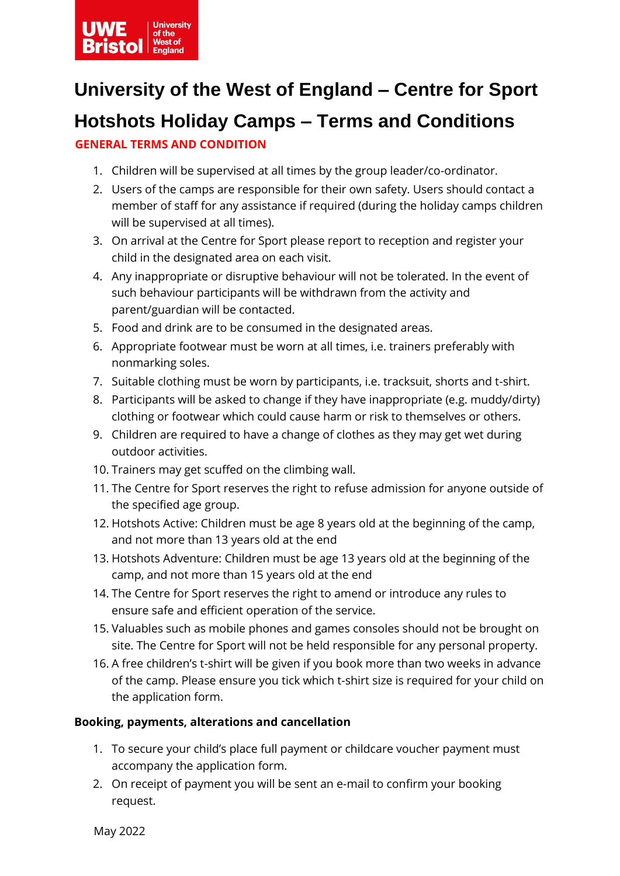

# **University of the West of England – Centre for Sport**

# **Hotshots Holiday Camps – Terms and Conditions**

### **GENERAL TERMS AND CONDITION**

- 1. Children will be supervised at all times by the group leader/co-ordinator.
- 2. Users of the camps are responsible for their own safety. Users should contact a member of staff for any assistance if required (during the holiday camps children will be supervised at all times).
- 3. On arrival at the Centre for Sport please report to reception and register your child in the designated area on each visit.
- 4. Any inappropriate or disruptive behaviour will not be tolerated. In the event of such behaviour participants will be withdrawn from the activity and parent/guardian will be contacted.
- 5. Food and drink are to be consumed in the designated areas.
- 6. Appropriate footwear must be worn at all times, i.e. trainers preferably with nonmarking soles.
- 7. Suitable clothing must be worn by participants, i.e. tracksuit, shorts and t-shirt.
- 8. Participants will be asked to change if they have inappropriate (e.g. muddy/dirty) clothing or footwear which could cause harm or risk to themselves or others.
- 9. Children are required to have a change of clothes as they may get wet during outdoor activities.
- 10. Trainers may get scuffed on the climbing wall.
- 11. The Centre for Sport reserves the right to refuse admission for anyone outside of the specified age group.
- 12. Hotshots Active: Children must be age 8 years old at the beginning of the camp, and not more than 13 years old at the end
- 13. Hotshots Adventure: Children must be age 13 years old at the beginning of the camp, and not more than 15 years old at the end
- 14. The Centre for Sport reserves the right to amend or introduce any rules to ensure safe and efficient operation of the service.
- 15. Valuables such as mobile phones and games consoles should not be brought on site. The Centre for Sport will not be held responsible for any personal property.
- 16. A free children's t-shirt will be given if you book more than two weeks in advance of the camp. Please ensure you tick which t-shirt size is required for your child on the application form.

#### **Booking, payments, alterations and cancellation**

- 1. To secure your child's place full payment or childcare voucher payment must accompany the application form.
- 2. On receipt of payment you will be sent an e-mail to confirm your booking request.